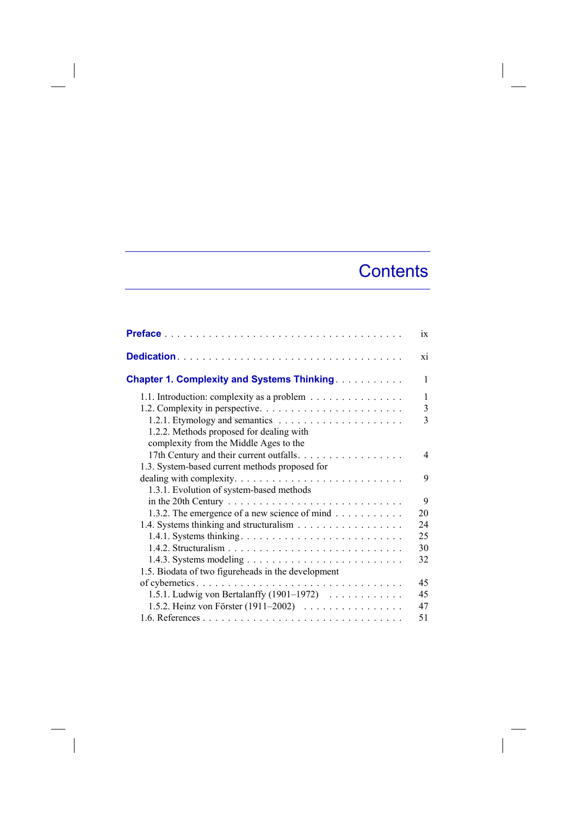## **Contents**

|                                                                                          | 1X |
|------------------------------------------------------------------------------------------|----|
|                                                                                          | X1 |
| <b>Chapter 1. Complexity and Systems Thinking</b>                                        | 1  |
| 1.1. Introduction: complexity as a problem $\dots \dots \dots \dots \dots$               | 1  |
| 1.2. Complexity in perspective. $\dots \dots \dots \dots \dots \dots \dots \dots \dots$  | 3  |
|                                                                                          | 3  |
| 1.2.2. Methods proposed for dealing with                                                 |    |
| complexity from the Middle Ages to the                                                   |    |
| 17th Century and their current outfalls.                                                 | 4  |
| 1.3. System-based current methods proposed for                                           |    |
| dealing with complexity. $\dots \dots \dots \dots \dots \dots \dots \dots \dots \dots$   | 9  |
| 1.3.1. Evolution of system-based methods                                                 |    |
|                                                                                          | 9  |
| 1.3.2. The emergence of a new science of mind                                            | 20 |
| 1.4. Systems thinking and structuralism                                                  | 24 |
|                                                                                          | 25 |
|                                                                                          | 30 |
| 1.4.3. Systems modeling $\ldots \ldots \ldots \ldots \ldots \ldots \ldots \ldots \ldots$ | 32 |
| 1.5. Biodata of two figureheads in the development                                       |    |
|                                                                                          | 45 |
| 1.5.1. Ludwig von Bertalanffy $(1901-1972)$                                              | 45 |
| 1.5.2. Heinz von Förster (1911–2002)                                                     | 47 |
|                                                                                          | 51 |
|                                                                                          |    |

 $\overline{\phantom{a}}$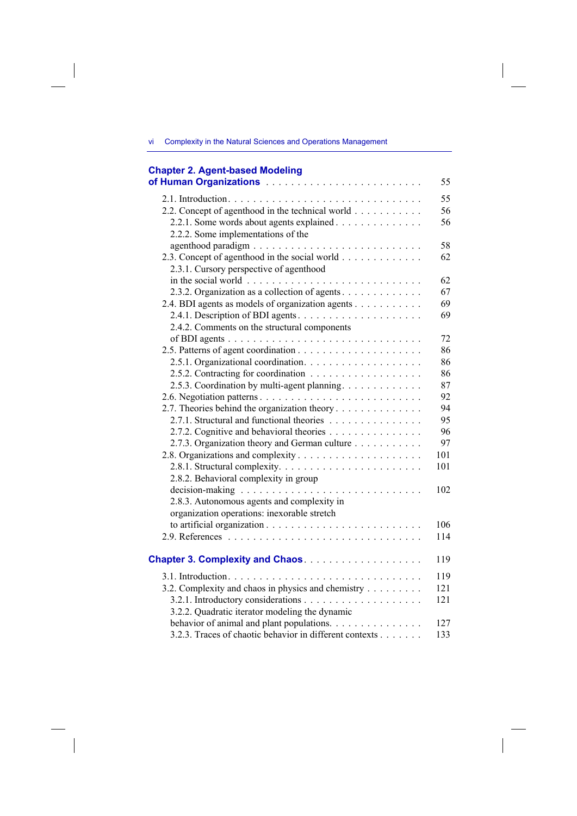| Complexity in the Natural Sciences and Operations Management<br>vi |            |
|--------------------------------------------------------------------|------------|
| <b>Chapter 2. Agent-based Modeling</b>                             |            |
|                                                                    | 55         |
|                                                                    | 55         |
| 2.2. Concept of agenthood in the technical world                   | 56         |
| 2.2.1. Some words about agents explained                           | 56         |
| 2.2.2. Some implementations of the                                 |            |
|                                                                    | 58         |
| 2.3. Concept of agenthood in the social world                      | 62         |
| 2.3.1. Cursory perspective of agenthood                            |            |
|                                                                    | 62         |
| 2.3.2. Organization as a collection of agents.                     | 67         |
| 2.4. BDI agents as models of organization agents                   | 69         |
|                                                                    | 69         |
| 2.4.2. Comments on the structural components                       |            |
|                                                                    | 72         |
|                                                                    | 86         |
|                                                                    | 86         |
|                                                                    | 86         |
| 2.5.3. Coordination by multi-agent planning                        | 87         |
|                                                                    | 92         |
| 2.7. Theories behind the organization theory                       | 94         |
| 2.7.1. Structural and functional theories                          | 95         |
| 2.7.2. Cognitive and behavioral theories                           | 96         |
| 2.7.3. Organization theory and German culture                      | 97         |
|                                                                    | 101<br>101 |
|                                                                    |            |
| 2.8.2. Behavioral complexity in group                              | 102        |
| 2.8.3. Autonomous agents and complexity in                         |            |
| organization operations: inexorable stretch                        |            |
|                                                                    | 106        |
|                                                                    | 114        |
|                                                                    |            |
| <b>Chapter 3. Complexity and Chaos</b>                             | 119        |
|                                                                    | 119        |
| 3.2. Complexity and chaos in physics and chemistry                 | 121        |
|                                                                    | 121        |
| 3.2.2. Quadratic iterator modeling the dynamic                     |            |
| behavior of animal and plant populations.                          | 127        |

3.2.3. Traces of chaotic behavior in different contexts . . . . . . . 133